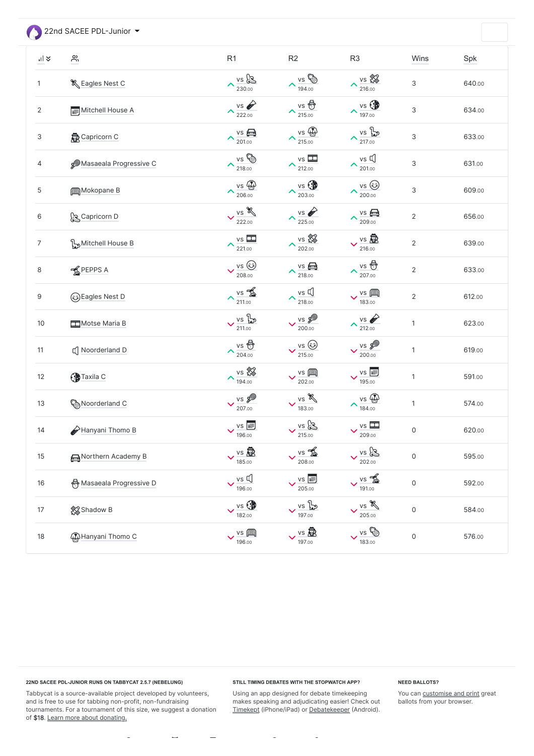22nd SACEE PDL-Junior

| $\frac{1}{2}$    | <u>ကို</u>                     | R <sub>1</sub>                                    | R2                                                                                                                                                                                                                                                                                                                                                                                                                                                           | R <sub>3</sub>                                            | Wins                      | Spk    |
|------------------|--------------------------------|---------------------------------------------------|--------------------------------------------------------------------------------------------------------------------------------------------------------------------------------------------------------------------------------------------------------------------------------------------------------------------------------------------------------------------------------------------------------------------------------------------------------------|-----------------------------------------------------------|---------------------------|--------|
| $\mathbf{1}$     | & Eagles Nest C                | vs &<br>$\curvearrowright$<br>230.00              | $\frac{v s \cos \theta}{194.00}$                                                                                                                                                                                                                                                                                                                                                                                                                             | $\frac{V_S \cdot \sqrt{2}}{216.00}$<br>$\curvearrowright$ | $\mathsf 3$               | 640.00 |
| $\overline{2}$   | Mitchell House A               | VS O<br>$\blacktriangle$<br>222.00                | $\lambda \frac{\text{vs}}{215.00}$                                                                                                                                                                                                                                                                                                                                                                                                                           | vs<br>$\curvearrowright$<br>197.00                        | $\mathsf 3$               | 634.00 |
| 3                | <b>Capricorn C</b>             | $vs \bigoplus$<br>$\blacktriangle$<br>201.00      | $\lambda \frac{\text{vs}}{215.00}$                                                                                                                                                                                                                                                                                                                                                                                                                           | vs po<br>$\curvearrowright$<br>217.00                     | $\mathsf 3$               | 633.00 |
| 4                | <b>SMASSAGES</b> Progressive C | VS EED<br>$\blacktriangle$<br>218.00              | $vs \Box$<br>$\sim$ 212.00                                                                                                                                                                                                                                                                                                                                                                                                                                   | $vs \not\mathbb{Q}$<br>$\curvearrowright$<br>201.00       | $\ensuremath{\mathsf{3}}$ | 631.00 |
| $\mathbf 5$      | Mokopane B                     | vs 4<br>$\blacktriangle$<br>206.00                | $\lambda \frac{{\rm vs.} {\odot} }{{\rm 203.00}}$                                                                                                                                                                                                                                                                                                                                                                                                            | vs ③<br>$\curvearrowright$<br>200.00                      | $\mathsf 3$               | 609.00 |
| 6                | <b>L</b> e Capricorn D         | vs<br>$\checkmark$<br>222.00                      | $\lambda \frac{\text{vs}}{225.00}$                                                                                                                                                                                                                                                                                                                                                                                                                           | $vs \bigoplus$<br>$\curvearrowright$<br>209.00            | $\overline{2}$            | 656.00 |
| $\overline{7}$   | Mitchell House B               | $vs \Box$<br>$\blacktriangle$<br>221.00           | $\lambda \frac{\text{vs } 88}{202.00}$                                                                                                                                                                                                                                                                                                                                                                                                                       | vs 愈<br>216.00                                            | $\overline{2}$            | 639.00 |
| 8                | <b>K</b> PEPPS A               | $\vee$ vs $\circledS$<br>208.00                   | $\lambda \frac{\text{vs}}{218.00}$                                                                                                                                                                                                                                                                                                                                                                                                                           | $\curvearrowright$<br>207.00                              | $\overline{2}$            | 633.00 |
| $\boldsymbol{9}$ | @Eagles Nest D                 | $vs$ $\frac{2}{20}$<br>$\blacktriangle$<br>211.00 | $vs \nightharpoonup$<br>$\sim$ 218.00                                                                                                                                                                                                                                                                                                                                                                                                                        | $vs \ \boxed{\mathbb{R}}$<br>183.00                       | $\overline{2}$            | 612.00 |
| $10$             | Motse Maria B                  | vs for<br>$\checkmark$<br>211.00                  | vs &<br>200.00                                                                                                                                                                                                                                                                                                                                                                                                                                               | VS O<br>$\curvearrowright$<br>212.00                      | $\mathbf{1}$              | 623.00 |
| 11               | <b>I</b> Noorderland D         | $\sim$ 204.00                                     | vs ③<br>215.00                                                                                                                                                                                                                                                                                                                                                                                                                                               | $\frac{v s}{200.00}$                                      | $\mathbf{1}$              | 619.00 |
| 12               | <b>C</b> Taxila C              | vs &<br>$\blacktriangle$<br>194.00                | $VS$ $\boxed{\mathbb{R}}$<br>202.00                                                                                                                                                                                                                                                                                                                                                                                                                          | vs <sub>3</sub><br>195.00                                 | $\mathbf{1}$              | 591.00 |
| $13$             | Noorderland C                  | $\frac{v s}{207.00}$                              | $\frac{v s}{183.00}$                                                                                                                                                                                                                                                                                                                                                                                                                                         | $vs \bigoplus$<br>$\blacktriangle$<br>184.00              | $\mathbf{1}$              | 574.00 |
| 14               | Hanyani Thomo B                | VS <b>ID</b><br>$\checkmark$<br>196.00            | $\vee$ vs $2$<br>215.00                                                                                                                                                                                                                                                                                                                                                                                                                                      | $vs \ \Box \Box$<br>209.00                                | $\mathsf{O}\xspace$       | 620.00 |
| 15               | Northern Academy B             | $\vee$ vs $\overline{\mathbb{R}}$<br>185.00       | $\frac{vs}{208.00}$                                                                                                                                                                                                                                                                                                                                                                                                                                          | $v$ s &<br>202.00                                         | $\mathsf{O}\xspace$       | 595.00 |
| $16\,$           | , Masaeala Progressive D       | $vs \not\mathbb{Q}$<br>$\checkmark$<br>196.00     | $\begin{array}{r} \n\sqrt{\frac{1}{100}} \\ \hline\n\sqrt{\frac{1}{100}} \\ \hline\n\sqrt{\frac{1}{100}} \\ \hline\n\sqrt{\frac{1}{100}} \\ \hline\n\sqrt{\frac{1}{100}} \\ \hline\n\sqrt{\frac{1}{100}} \\ \hline\n\sqrt{\frac{1}{100}} \\ \hline\n\sqrt{\frac{1}{100}} \\ \hline\n\sqrt{\frac{1}{100}} \\ \hline\n\sqrt{\frac{1}{100}} \\ \hline\n\sqrt{\frac{1}{100}} \\ \hline\n\sqrt{\frac{1}{100}} \\ \hline\n\sqrt{\frac{1}{100}} \\ \hline\n\sqrt{\$ | $vs = \frac{1}{20}$<br>191.00                             | $\mathsf{O}\xspace$       | 592.00 |
| 17               | Shadow B                       | $\vee$ vs $\bigcirc$<br>182.00                    | $\vee$ vs $\frac{p}{\sqrt{2}}$<br>197.00                                                                                                                                                                                                                                                                                                                                                                                                                     | vs<br>$\checkmark$<br>205.00                              | $\mathsf{O}\xspace$       | 584.00 |
| $18\,$           | <b>A</b> Hanyani Thomo C       | $\vee$ vs $\boxed{m}$<br>196.00                   | $\vee$ vs $\overline{\mathbb{R}}$<br>197.00                                                                                                                                                                                                                                                                                                                                                                                                                  | VS ED<br>183.00                                           | $\mathsf{O}\xspace$       | 576.00 |

Tabbycat is a source-available project developed by volunteers, and is free to use for tabbing non-profit, non-fundraising tournaments. For a tournament of this size, we suggest a donation of \$18. [Learn more about donating.](https://saceepolokwane.herokuapp.com/22nd-SACEE-PDL-Jr/donations/)

 $\bar{\phantom{a}}$ 

 $\sim$ 

 $\equiv$ 

Using an app designed for debate timekeeping makes speaking and adjudicating easier! Check out [Timekept](https://itunes.apple.com/app/apple-store/id1156065589?pt=814172&ct=Tabbycat%20Installs&mt=8) (iPhone/iPad) or [Debatekeeper](https://play.google.com/store/apps/details?id=net.czlee.debatekeeper&referrer=utm_source%3Dtabbycat%26utm_medium%3Dfooter) (Android).

 $\overline{\phantom{a}}$ 

# **22ND SACEE PDL-JUNIOR RUNS ON TABBYCAT 2.5.7 (NEBELUNG)**

## **STILL TIMING DEBATES WITH THE STOPWATCH APP?**

 $\bar{\phantom{a}}$ 

## **NEED BALLOTS?**

You can **customise and print** great ballots from your browser.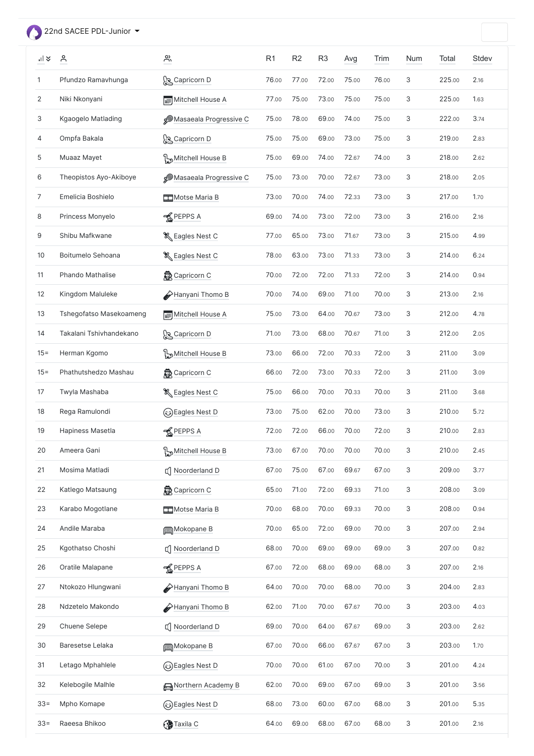<span id="page-1-0"></span>22nd SACEE PDL-Junior

| $\frac{1}{2}$ | $\sum_{i=1}^{n}$        | $\sum_{i=1}^{n}$                | R <sub>1</sub> | R <sub>2</sub> | R <sub>3</sub> | Avg   | Trim  | <b>Num</b> | <b>Total</b> | Stdev |
|---------------|-------------------------|---------------------------------|----------------|----------------|----------------|-------|-------|------------|--------------|-------|
| 1             | Pfundzo Ramavhunga      | <b>S</b> Capricorn D            | 76.00          | 77.00          | 72.00          | 75.00 | 76.00 | 3          | 225.00       | 2.16  |
| 2             | Niki Nkonyani           | Mitchell House A                | 77.00          | 75.00          | 73.00          | 75.00 | 75.00 | 3          | 225.00       | 1.63  |
| 3             | Kgaogelo Matlading      | <b>S</b> Masaeala Progressive C | 75.00          | 78.00          | 69.00          | 74.00 | 75.00 | 3          | 222.00       | 3.74  |
| 4             | Ompfa Bakala            | <b>S</b> Capricorn D            | 75.00          | 75.00          | 69.00          | 73.00 | 75.00 | 3          | 219.00       | 2.83  |
| 5             | Muaaz Mayet             | Mitchell House B و ا            | 75.00          | 69.00          | 74.00          | 72.67 | 74.00 | 3          | 218.00       | 2.62  |
| 6             | Theopistos Ayo-Akiboye  | <b>S</b> Masaeala Progressive C | 75.00          | 73.00          | 70.00          | 72.67 | 73.00 | 3          | 218.00       | 2.05  |
| 7             | Emelicia Boshielo       | Motse Maria B                   | 73.00          | 70.00          | 74.00          | 72.33 | 73.00 | 3          | 217.00       | 1.70  |
| 8             | Princess Monyelo        | <b>K</b> PEPPS A                | 69.00          | 74.00          | 73.00          | 72.00 | 73.00 | 3          | 216.00       | 2.16  |
| 9             | Shibu Mafkwane          | & Eagles Nest C                 | 77.00          | 65.00          | 73.00          | 71.67 | 73.00 | 3          | 215.00       | 4.99  |
| 10            | Boitumelo Sehoana       | & Eagles Nest C                 | 78.00          | 63.00          | 73.00          | 71.33 | 73.00 | 3          | 214.00       | 6.24  |
| 11            | Phando Mathalise        | <b>森</b> Capricorn C            | 70.00          | 72.00          | 72.00          | 71.33 | 72.00 | 3          | 214.00       | 0.94  |
| 12            | Kingdom Maluleke        | Hanyani Thomo B                 | 70.00          | 74.00          | 69.00          | 71.00 | 70.00 | 3          | 213.00       | 2.16  |
| 13            | Tshegofatso Masekoameng | Mitchell House A                | 75.00          | 73.00          | 64.00          | 70.67 | 73.00 | 3          | 212.00       | 4.78  |
| 14            | Takalani Tshivhandekano | Capricorn D                     | 71.00          | 73.00          | 68.00          | 70.67 | 71.00 | 3          | 212.00       | 2.05  |
| $15 =$        | Herman Kgomo            | Mitchell House B و              | 73.00          | 66.00          | 72.00          | 70.33 | 72.00 | 3          | 211.00       | 3.09  |
| $15 =$        | Phathutshedzo Mashau    | <b>森</b> Capricorn C            | 66.00          | 72.00          | 73.00          | 70.33 | 72.00 | 3          | 211.00       | 3.09  |
| 17            | Twyla Mashaba           | & Eagles Nest C                 | 75.00          | 66.00          | 70.00          | 70.33 | 70.00 | 3          | 211.00       | 3.68  |
| 18            | Rega Ramulondi          | ြင်း Nest D                     | 73.00          | 75.00          | 62.00          | 70.00 | 73.00 | 3          | 210.00       | 5.72  |
| 19            | Hapiness Masetla        | <b>K</b> PEPPS A                | 72.00          | 72.00          | 66.00          | 70.00 | 72.00 | 3          | 210.00       | 2.83  |
| 20            | Ameera Gani             | Mitchell House B وِ             | 73.00          | 67.00          | 70.00          | 70.00 | 70.00 | 3          | 210.00       | 2.45  |
| 21            | Mosima Matladi          | □ Noorderland D                 | 67.00          | 75.00          | 67.00          | 69.67 | 67.00 | 3          | 209.00       | 3.77  |
| 22            | Katlego Matsaung        | <b>最</b> Capricorn C            | 65.00          | 71.00          | 72.00          | 69.33 | 71.00 | 3          | 208.00       | 3.09  |
| 23            | Karabo Mogotlane        | Motse Maria B                   | 70.00          | 68.00          | 70.00          | 69.33 | 70.00 | 3          | 208.00       | 0.94  |
| 24            | Andile Maraba           | Mokopane B                      | 70.00          | 65.00          | 72.00          | 69.00 | 70.00 | 3          | 207.00       | 2.94  |
| 25            | Kgothatso Choshi        | □ Noorderland D                 | 68.00          | 70.00          | 69.00          | 69.00 | 69.00 | 3          | 207.00       | 0.82  |
| 26            | Oratile Malapane        | <b>K</b> PEPPS A                | 67.00          | 72.00          | 68.00          | 69.00 | 68.00 | 3          | 207.00       | 2.16  |
| 27            | Ntokozo Hlungwani       | Hanyani Thomo B                 | 64.00          | 70.00          | 70.00          | 68.00 | 70.00 | 3          | 204.00       | 2.83  |
| 28            | Ndzetelo Makondo        | Hanyani Thomo B                 | 62.00          | 71.00          | 70.00          | 67.67 | 70.00 | 3          | 203.00       | 4.03  |
| 29            | Chuene Selepe           | □ Noorderland D                 | 69.00          | 70.00          | 64.00          | 67.67 | 69.00 | 3          | 203.00       | 2.62  |
| 30            | Baresetse Lelaka        | Mokopane B                      | 67.00          | 70.00          | 66.00          | 67.67 | 67.00 | 3          | 203.00       | 1.70  |
| 31            | Letago Mphahlele        | ြေ) Eagles Nest D               | 70.00          | 70.00          | 61.00          | 67.00 | 70.00 | 3          | 201.00       | 4.24  |
| 32            | Kelebogile Malhle       | Northern Academy B              | 62.00          | 70.00          | 69.00          | 67.00 | 69.00 | 3          | 201.00       | 3.56  |
| $33 =$        | Mpho Komape             | ြေ) Eagles Nest D               | 68.00          | 73.00          | 60.00          | 67.00 | 68.00 | 3          | 201.00       | 5.35  |
| $33 =$        | Raeesa Bhikoo           | <b>C</b> Taxila C               | 64.00          | 69.00          | 68.00          | 67.00 | 68.00 | 3          | 201.00       | 2.16  |